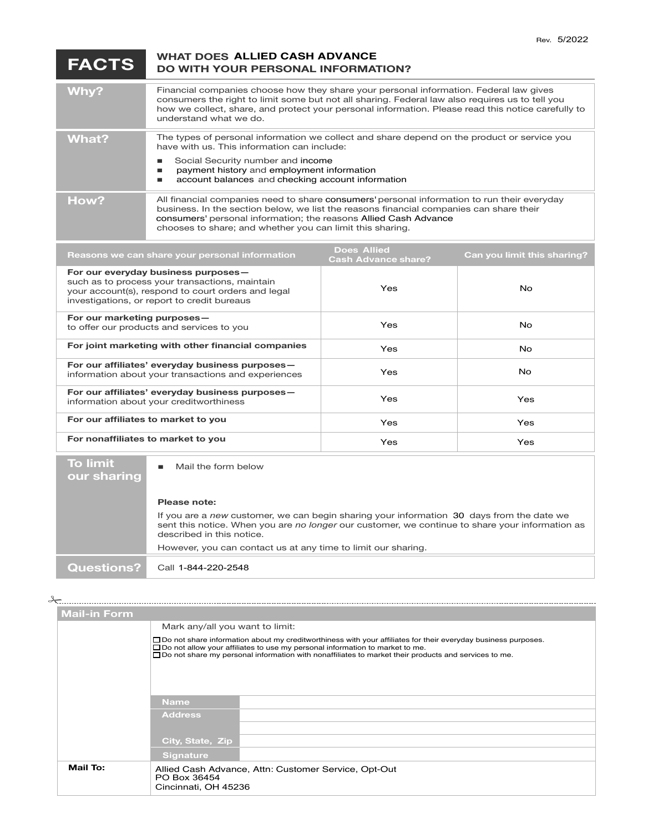## $FACTS$ **DO WITH YOUR PERSONAL INFORMATION? WHAT DOES ALLIED CASH ADVANCE**

| Why?  | Financial companies choose how they share your personal information. Federal law gives<br>consumers the right to limit some but not all sharing. Federal law also requires us to tell you<br>how we collect, share, and protect your personal information. Please read this notice carefully to<br>understand what we do. |
|-------|---------------------------------------------------------------------------------------------------------------------------------------------------------------------------------------------------------------------------------------------------------------------------------------------------------------------------|
| What? | The types of personal information we collect and share depend on the product or service you<br>have with us. This information can include:<br>Social Security number and income<br>payment history and employment information<br>account balances and checking account information                                        |
| How?  | All financial companies need to share consumers' personal information to run their everyday<br>business. In the section below, we list the reasons financial companies can share their<br>consumers' personal information; the reasons Allied Cash Advance<br>chooses to share; and whether you can limit this sharing.   |

| Reasons we can share your personal information                                                                                                                                             | <b>Does Allied</b><br><b>Cash Advance share?</b> | Can you limit this sharing? |
|--------------------------------------------------------------------------------------------------------------------------------------------------------------------------------------------|--------------------------------------------------|-----------------------------|
| For our everyday business purposes-<br>such as to process your transactions, maintain<br>your account(s), respond to court orders and legal<br>investigations, or report to credit bureaus | Yes                                              | No.                         |
| For our marketing purposes-<br>to offer our products and services to you                                                                                                                   | Yes                                              | No.                         |
| For joint marketing with other financial companies                                                                                                                                         | Yes                                              | No.                         |
| For our affiliates' everyday business purposes-<br>information about your transactions and experiences                                                                                     | Yes                                              | <b>No</b>                   |
| For our affiliates' everyday business purposes-<br>information about your creditworthiness                                                                                                 | Yes                                              | Yes                         |
| For our affiliates to market to you                                                                                                                                                        | Yes                                              | <b>Yes</b>                  |
| For nonaffiliates to market to you                                                                                                                                                         | Yes                                              | <b>Yes</b>                  |

**To limit our sharing**  Mail the form below<br> **our sharing** 

| <b>Please note:</b> |  |
|---------------------|--|

If you are a new customer, we can begin sharing your information 30 days from the date we sent this notice. When you are *no longer* our customer, we continue to share your information as described in this notice. However, you can contact us at any time to limit our sharing.

**Questions?** Call 1-844-220-2548

| $\rightarrow$ |                                                                                                                                                                                                                                                                                                                            |                                                                                              |  |  |
|---------------|----------------------------------------------------------------------------------------------------------------------------------------------------------------------------------------------------------------------------------------------------------------------------------------------------------------------------|----------------------------------------------------------------------------------------------|--|--|
|               | <b>Mail-in Form</b>                                                                                                                                                                                                                                                                                                        |                                                                                              |  |  |
|               |                                                                                                                                                                                                                                                                                                                            | Mark any/all you want to limit:                                                              |  |  |
|               | $\Box$ Do not share information about my creditworthiness with your affiliates for their everyday business purposes.<br>$\Box$ Do not allow your affiliates to use my personal information to market to me.<br>$\Box$ Do not share my personal information with nonaffiliates to market their products and services to me. |                                                                                              |  |  |
|               |                                                                                                                                                                                                                                                                                                                            |                                                                                              |  |  |
|               |                                                                                                                                                                                                                                                                                                                            | <b>Name</b>                                                                                  |  |  |
|               |                                                                                                                                                                                                                                                                                                                            | <b>Address</b>                                                                               |  |  |
|               |                                                                                                                                                                                                                                                                                                                            |                                                                                              |  |  |
|               |                                                                                                                                                                                                                                                                                                                            | City, State, Zip                                                                             |  |  |
|               |                                                                                                                                                                                                                                                                                                                            | <b>Signature</b>                                                                             |  |  |
|               | Mail To:                                                                                                                                                                                                                                                                                                                   | Allied Cash Advance, Attn: Customer Service, Opt-Out<br>PO Box 36454<br>Cincinnati, OH 45236 |  |  |